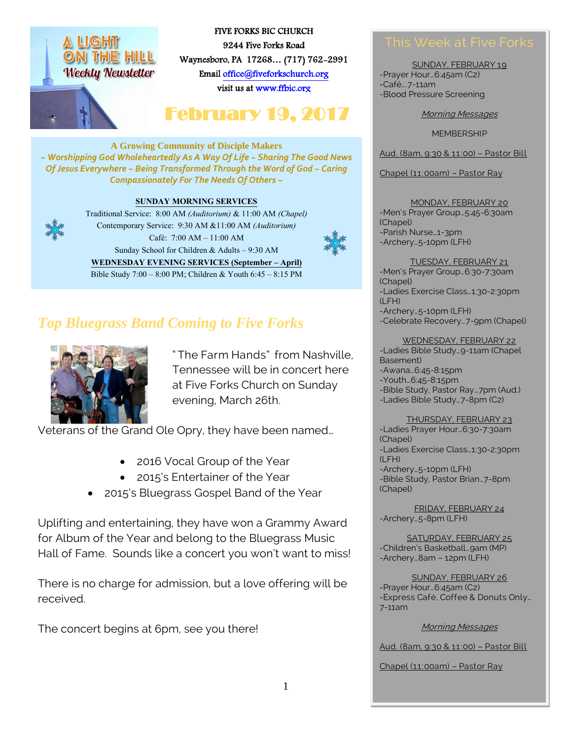

FIVE FORKS BIC CHURCH 9244 Five Forks Road Waynesboro, PA 17268… (717) 762-2991 Emai[l office@fiveforkschurch.org](mailto:office@fiveforkschurch.org)  visit us a[t www.ffbic.org](http://www.ffbic.org/) 

# February 19, 2017

**A Growing Community of Disciple Makers** *~ Worshipping God Wholeheartedly As A Way Of Life ~ Sharing The Good News Of Jesus Everywhere ~ Being Transformed Through the Word of God ~ Caring Compassionately For The Needs Of Others ~*

#### **SUNDAY MORNING SERVICES**



Traditional Service: 8:00 AM *(Auditorium)* & 11:00 AM *(Chapel)* Contemporary Service: 9:30 AM &11:00 AM *(Auditorium)* Café: 7:00 AM – 11:00 AM Sunday School for Children & Adults – 9:30 AM **WEDNESDAY EVENING SERVICES (September – April)** Bible Study 7:00 – 8:00 PM; Children & Youth 6:45 – 8:15 PM





" The Farm Hands" from Nashville, Tennessee will be in concert here at Five Forks Church on Sunday evening, March 26th.

Veterans of the Grand Ole Opry, they have been named…

- 2016 Vocal Group of the Year
- 2015's Entertainer of the Year
- 2015's Bluegrass Gospel Band of the Year

Uplifting and entertaining, they have won a Grammy Award for Album of the Year and belong to the Bluegrass Music Hall of Fame. Sounds like a concert you won't want to miss!

There is no charge for admission, but a love offering will be received.

The concert begins at 6pm, see you there!

SUNDAY, FEBRUARY 19 -Prayer Hour…6:45am (C2) -Café….7-11am -Blood Pressure Screening

Morning Messages

**MEMBERSHIP** 

Aud. (8am, 9:30 & 11:00) – Pastor Bill

Chapel (11:00am) – Pastor Ray

MONDAY, FEBRUARY 20 -Men's Prayer Group…5:45-6:30am (Chapel) -Parish Nurse…1-3pm -Archery…5-10pm (LFH)

TUESDAY, FEBRUARY 21 -Men's Prayer Group…6:30-7:30am (Chapel) -Ladies Exercise Class…1:30-2:30pm (LFH) -Archery…5-10pm (LFH) -Celebrate Recovery…7-9pm (Chapel)

#### WEDNESDAY, FEBRUARY 22

-Ladies Bible Study…9-11am (Chapel Basement) -Awana…6:45-8:15pm -Youth…6:45-8:15pm -Bible Study, Pastor Ray…7pm (Aud.) -Ladies Bible Study…7-8pm (C2)

THURSDAY, FEBRUARY 23 -Ladies Prayer Hour…6:30-7:30am (Chapel) -Ladies Exercise Class…1:30-2:30pm (LFH) -Archery…5-10pm (LFH) -Bible Study, Pastor Brian…7-8pm (Chapel)

FRIDAY, FEBRUARY 24 -Archery…5-8pm (LFH)

SATURDAY, FEBRUARY 25 -Children's Basketball…9am (MP) -Archery…8am – 12pm (LFH)

SUNDAY, FEBRUARY 26 -Prayer Hour…6:45am (C2) -Express Café, Coffee & Donuts Only… 7-11am

#### Morning Messages

Aud. (8am, 9:30 & 11:00) – Pastor Bill

Chapel (11:00am) – Pastor Ray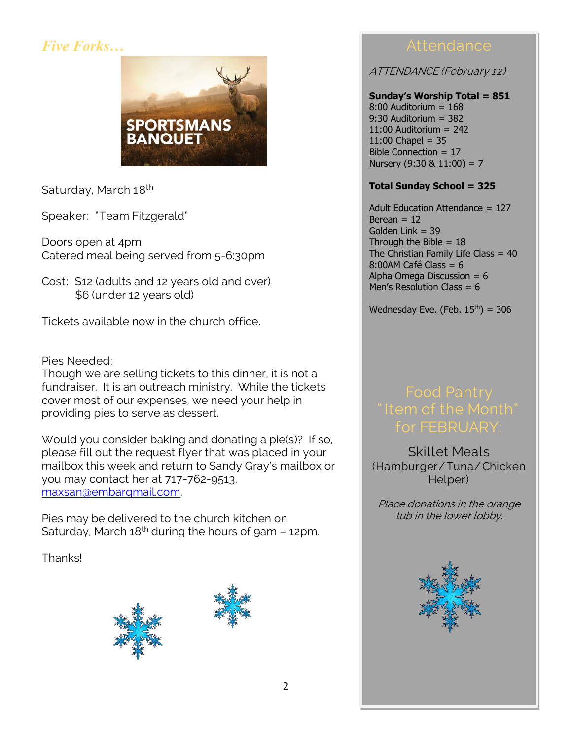# *Five Forks…*



Saturday, March 18<sup>th</sup>

Speaker: "Team Fitzgerald"

Doors open at 4pm Catered meal being served from 5-6:30pm

Cost: \$12 (adults and 12 years old and over) \$6 (under 12 years old)

Tickets available now in the church office.

## Pies Needed:

Though we are selling tickets to this dinner, it is not a fundraiser. It is an outreach ministry. While the tickets cover most of our expenses, we need your help in providing pies to serve as dessert.

Would you consider baking and donating a pie(s)? If so, please fill out the request flyer that was placed in your mailbox this week and return to Sandy Gray's mailbox or you may contact her at 717-762-9513, [maxsan@embarqmail.com.](mailto:maxsan@embarqmail.com)

Pies may be delivered to the church kitchen on Saturday, March  $18<sup>th</sup>$  during the hours of 9am – 12pm.

Thanks!





ATTENDANCE (February 12)

#### **Sunday's Worship Total = 851** 8:00 Auditorium = 168 9:30 Auditorium = 382 11:00 Auditorium = 242  $11:00$  Chapel = 35 Bible Connection = 17 Nursery  $(9:30 \& 11:00) = 7$

## **Total Sunday School = 325**

Adult Education Attendance = 127 Berean  $= 12$ Golden Link = 39 Through the Bible  $= 18$ The Christian Family Life Class = 40 8:00AM Café Class = 6 Alpha Omega Discussion =  $6$ Men's Resolution Class =  $6$ 

Wednesday Eve. (Feb.  $15<sup>th</sup>$ ) = 306

# for FEBRUARY:

Skillet Meals (Hamburger/Tuna/ Chicken Helper)

Place donations in the orange tub in the lower lobby.

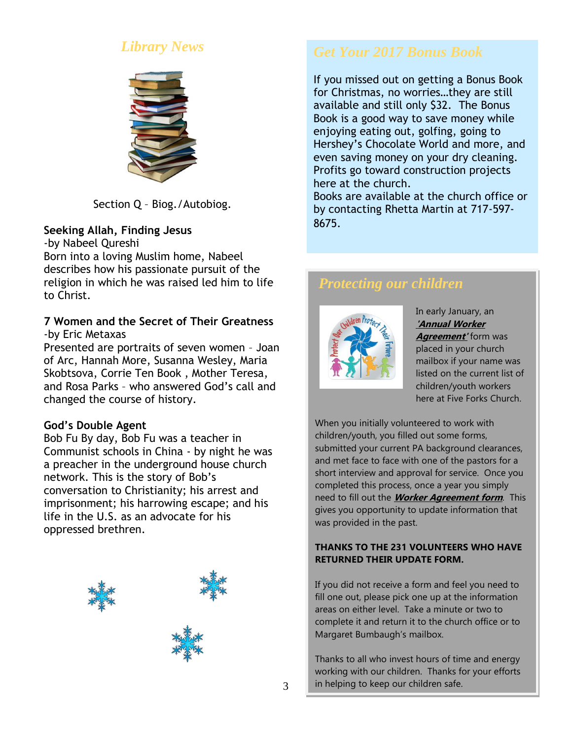# *Library News*



Section Q – Biog./Autobiog.

## **Seeking Allah, Finding Jesus**

-by Nabeel Qureshi Born into a loving Muslim home, Nabeel describes how his passionate pursuit of the religion in which he was raised led him to life to Christ.

## **7 Women and the Secret of Their Greatness**  -by Eric Metaxas

Presented are portraits of seven women – Joan of Arc, Hannah More, Susanna Wesley, Maria Skobtsova, Corrie Ten Book , Mother Teresa, and Rosa Parks – who answered God's call and changed the course of history.

## **God's Double Agent**

Bob Fu By day, Bob Fu was a teacher in Communist schools in China - by night he was a preacher in the underground house church network. This is the story of Bob's conversation to Christianity; his arrest and imprisonment; his harrowing escape; and his life in the U.S. as an advocate for his oppressed brethren.



If you missed out on getting a Bonus Book for Christmas, no worries…they are still available and still only \$32. The Bonus Book is a good way to save money while enjoying eating out, golfing, going to Hershey's Chocolate World and more, and even saving money on your dry cleaning. Profits go toward construction projects here at the church.

Books are available at the church office or by contacting Rhetta Martin at 717-597- 8675.

# *Protecting our children*



In early January, an **'Annual Worker Agreement'** form was placed in your church mailbox if your name was listed on the current list of children/youth workers here at Five Forks Church.

When you initially volunteered to work with children/youth, you filled out some forms, submitted your current PA background clearances, and met face to face with one of the pastors for a short interview and approval for service. Once you completed this process, once a year you simply need to fill out the **Worker Agreement form**. This gives you opportunity to update information that was provided in the past.

#### **THANKS TO THE 231 VOLUNTEERS WHO HAVE RETURNED THEIR UPDATE FORM.**

If you did not receive a form and feel you need to fill one out, please pick one up at the information areas on either level. Take a minute or two to complete it and return it to the church office or to Margaret Bumbaugh's mailbox.

Thanks to all who invest hours of time and energy working with our children. Thanks for your efforts in helping to keep our children safe.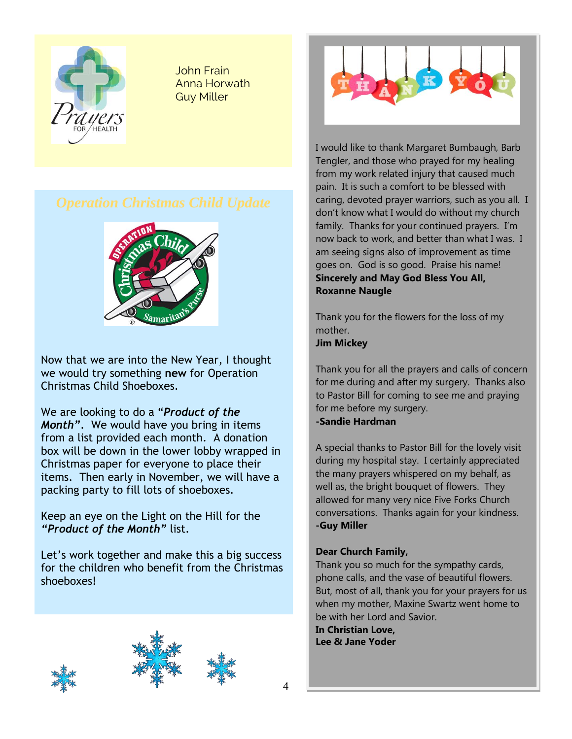

John Frain Anna Horwath Guy Miller



Now that we are into the New Year, I thought we would try something **new** for Operation Christmas Child Shoeboxes.

We are looking to do a "*Product of the Month"*. We would have you bring in items from a list provided each month. A donation box will be down in the lower lobby wrapped in Christmas paper for everyone to place their items. Then early in November, we will have a packing party to fill lots of shoeboxes.

Keep an eye on the Light on the Hill for the *"Product of the Month"* list.

Let's work together and make this a big success for the children who benefit from the Christmas shoeboxes!









I would like to thank Margaret Bumbaugh, Barb Tengler, and those who prayed for my healing from my work related injury that caused much pain. It is such a comfort to be blessed with caring, devoted prayer warriors, such as you all. I don't know what I would do without my church family. Thanks for your continued prayers. I'm now back to work, and better than what I was. I am seeing signs also of improvement as time goes on. God is so good. Praise his name! **Sincerely and May God Bless You All, Roxanne Naugle**

Thank you for the flowers for the loss of my mother. **Jim Mickey**

Thank you for all the prayers and calls of concern for me during and after my surgery. Thanks also to Pastor Bill for coming to see me and praying for me before my surgery.

#### **-Sandie Hardman**

A special thanks to Pastor Bill for the lovely visit during my hospital stay. I certainly appreciated the many prayers whispered on my behalf, as well as, the bright bouquet of flowers. They allowed for many very nice Five Forks Church conversations. Thanks again for your kindness. **-Guy Miller**

#### **Dear Church Family,**

Thank you so much for the sympathy cards, phone calls, and the vase of beautiful flowers. But, most of all, thank you for your prayers for us when my mother, Maxine Swartz went home to be with her Lord and Savior.

**In Christian Love, Lee & Jane Yoder**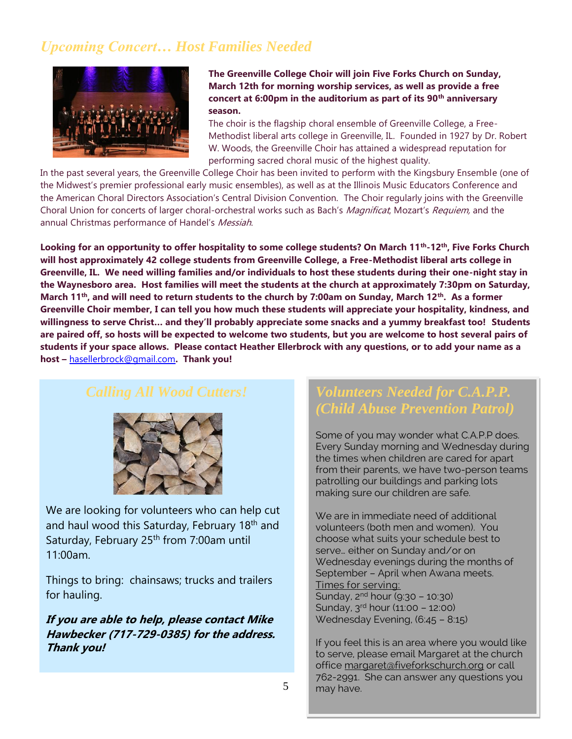# *Upcoming Concert… Host Families Needed*



**The Greenville College Choir will join Five Forks Church on Sunday, March 12th for morning worship services, as well as provide a free concert at 6:00pm in the auditorium as part of its 90th anniversary season.**

The choir is the flagship choral ensemble of Greenville College, a Free-Methodist liberal arts college in Greenville, IL. Founded in 1927 by Dr. Robert W. Woods, the Greenville Choir has attained a widespread reputation for performing sacred choral music of the highest quality.

In the past several years, the Greenville College Choir has been invited to perform with the Kingsbury Ensemble (one of the Midwest's premier professional early music ensembles), as well as at the Illinois Music Educators Conference and the American Choral Directors Association's Central Division Convention. The Choir regularly joins with the Greenville Choral Union for concerts of larger choral-orchestral works such as Bach's Magnificat, Mozart's Requiem, and the annual Christmas performance of Handel's Messiah.

**Looking for an opportunity to offer hospitality to some college students? On March 11th -12th, Five Forks Church will host approximately 42 college students from Greenville College, a Free-Methodist liberal arts college in Greenville, IL. We need willing families and/or individuals to host these students during their one-night stay in the Waynesboro area. Host families will meet the students at the church at approximately 7:30pm on Saturday, March 11th, and will need to return students to the church by 7:00am on Sunday, March 12th . As a former Greenville Choir member, I can tell you how much these students will appreciate your hospitality, kindness, and willingness to serve Christ… and they'll probably appreciate some snacks and a yummy breakfast too! Students are paired off, so hosts will be expected to welcome two students, but you are welcome to host several pairs of students if your space allows. Please contact Heather Ellerbrock with any questions, or to add your name as a host –** [hasellerbrock@gmail.com](mailto:hasellerbrock@gmail.com)**. Thank you!**



We are looking for volunteers who can help cut and haul wood this Saturday, February 18<sup>th</sup> and Saturday, February 25<sup>th</sup> from 7:00am until 11:00am.

Things to bring: chainsaws; trucks and trailers for hauling.

**If you are able to help, please contact Mike Hawbecker (717-729-0385) for the address. Thank you!**

## *Volunteers Needed for C.A.P.P. (Child Abuse Prevention Patrol)*

Some of you may wonder what C.A.P.P does. Every Sunday morning and Wednesday during the times when children are cared for apart from their parents, we have two-person teams patrolling our buildings and parking lots making sure our children are safe.

We are in immediate need of additional volunteers (both men and women). You choose what suits your schedule best to serve… either on Sunday and/or on Wednesday evenings during the months of September – April when Awana meets. Times for serving: Sunday, 2<sup>nd</sup> hour (9:30 - 10:30) Sunday, 3rd hour (11:00 – 12:00) Wednesday Evening, (6:45 – 8:15)

If you feel this is an area where you would like to serve, please email Margaret at the church offic[e margaret@fiveforkschurch.org](mailto:margaret@fiveforkschurch.org) or call 762-2991. She can answer any questions you may have.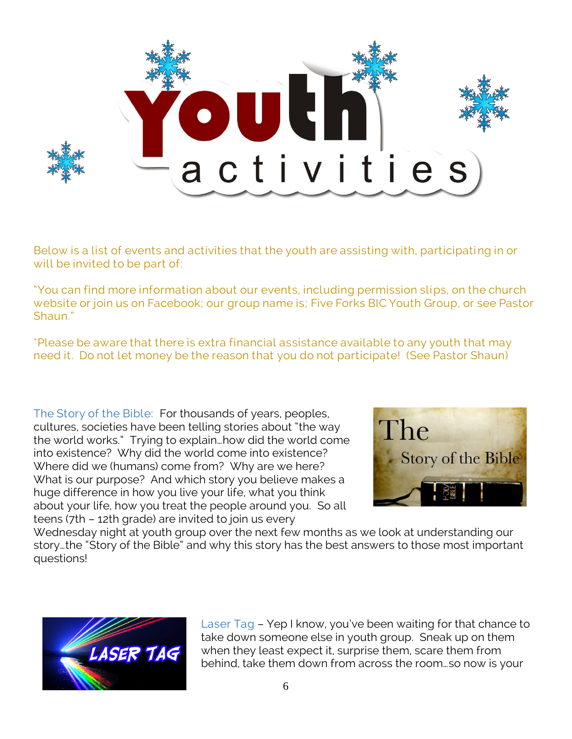

Below is a list of events and activities that the youth are assisting with, participating in or will be invited to be part of:

"You can find more information about our events, including permission slips, on the church website or join us on Facebook; our group name is; Five Forks BIC Youth Group, or see Pastor Shaun."

\*Please be aware that there is extra financial assistance available to any youth that may need it. Do not let money be the reason that you do not participate! (See Pastor Shaun)

The Story of the Bible: For thousands of years, peoples, cultures, societies have been telling stories about "the way the world works." Trying to explain…how did the world come into existence? Why did the world come into existence? Where did we (humans) come from? Why are we here? What is our purpose? And which story you believe makes a huge difference in how you live your life, what you think about your life, how you treat the people around you. So all teens (7th – 12th grade) are invited to join us every



Wednesday night at youth group over the next few months as we look at understanding our story…the "Story of the Bible" and why this story has the best answers to those most important questions!



Laser Tag – Yep I know, you've been waiting for that chance to take down someone else in youth group. Sneak up on them when they least expect it, surprise them, scare them from behind, take them down from across the room…so now is your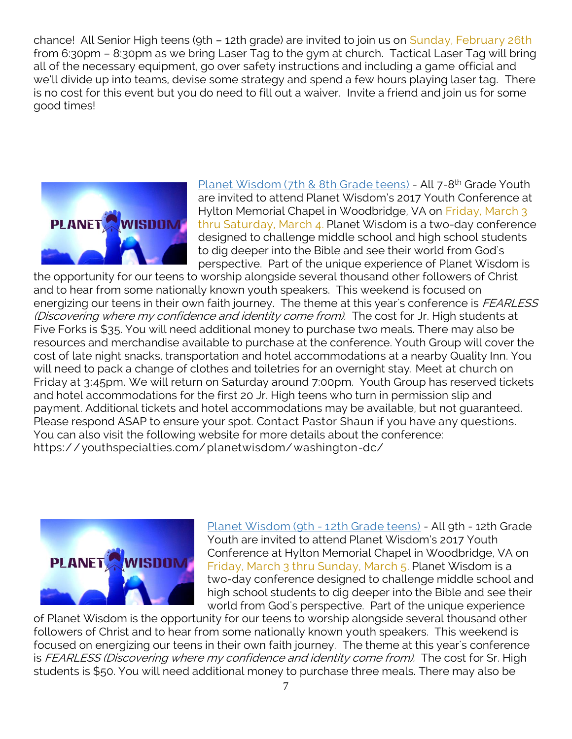chance! All Senior High teens (9th – 12th grade) are invited to join us on Sunday, February 26th from 6:30pm – 8:30pm as we bring Laser Tag to the gym at church. Tactical Laser Tag will bring all of the necessary equipment, go over safety instructions and including a game official and we'll divide up into teams, devise some strategy and spend a few hours playing laser tag. There is no cost for this event but you do need to fill out a waiver. Invite a friend and join us for some good times!



Planet Wisdom (7th & 8th Grade teens) - All 7-8<sup>th</sup> Grade Youth are invited to attend Planet Wisdom's 2017 Youth Conference at Hylton Memorial Chapel in Woodbridge, VA on Friday, March 3 thru Saturday, March 4. Planet Wisdom is a two-day conference designed to challenge middle school and high school students to dig deeper into the Bible and see their world from God's perspective. Part of the unique experience of Planet Wisdom is

the opportunity for our teens to worship alongside several thousand other followers of Christ and to hear from some nationally known youth speakers. This weekend is focused on energizing our teens in their own faith journey. The theme at this year's conference is FEARLESS (Discovering where my confidence and identity come from). The cost for Jr. High students at Five Forks is \$35. You will need additional money to purchase two meals. There may also be resources and merchandise available to purchase at the conference. Youth Group will cover the cost of late night snacks, transportation and hotel accommodations at a nearby Quality Inn. You will need to pack a change of clothes and toiletries for an overnight stay. Meet at church on Friday at 3:45pm. We will return on Saturday around 7:00pm. Youth Group has reserved tickets and hotel accommodations for the first 20 Jr. High teens who turn in permission slip and payment. Additional tickets and hotel accommodations may be available, but not guaranteed. Please respond ASAP to ensure your spot. Contact Pastor Shaun if you have any questions. You can also visit the following website for more details about the conference: <https://youthspecialties.com/planetwisdom/washington-dc/>



Planet Wisdom (9th - 12th Grade teens) - All 9th - 12th Grade Youth are invited to attend Planet Wisdom's 2017 Youth Conference at Hylton Memorial Chapel in Woodbridge, VA on Friday, March 3 thru Sunday, March 5. Planet Wisdom is a two-day conference designed to challenge middle school and high school students to dig deeper into the Bible and see their world from God's perspective. Part of the unique experience

of Planet Wisdom is the opportunity for our teens to worship alongside several thousand other followers of Christ and to hear from some nationally known youth speakers. This weekend is focused on energizing our teens in their own faith journey. The theme at this year's conference is FEARLESS (Discovering where my confidence and identity come from). The cost for Sr. High students is \$50. You will need additional money to purchase three meals. There may also be